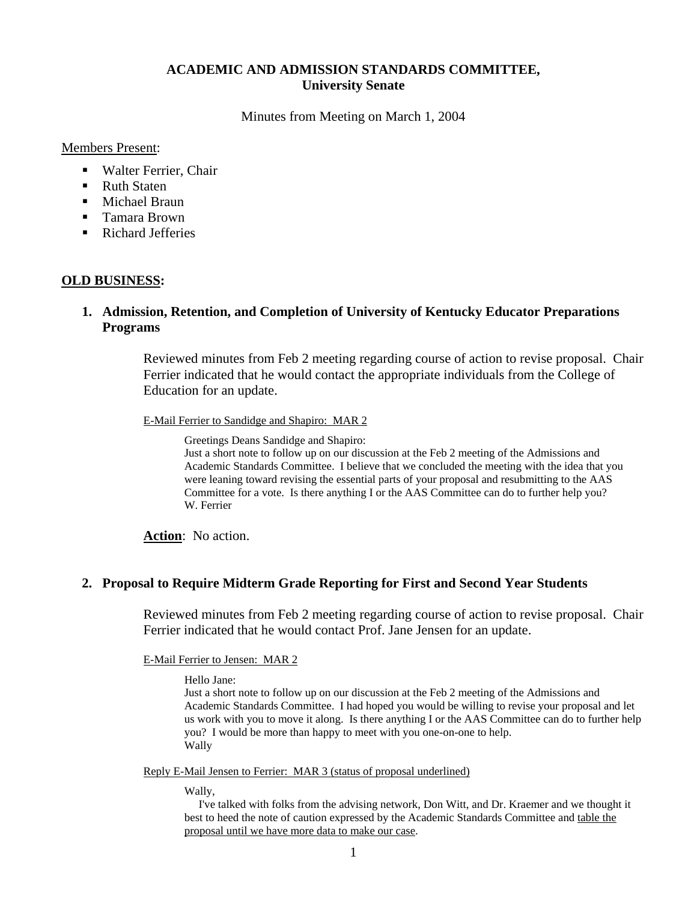# **ACADEMIC AND ADMISSION STANDARDS COMMITTEE, University Senate**

Minutes from Meeting on March 1, 2004

Members Present:

- Walter Ferrier, Chair
- Ruth Staten
- **Michael Braun**
- Tamara Brown
- Richard Jefferies

### **OLD BUSINESS:**

# **1. Admission, Retention, and Completion of University of Kentucky Educator Preparations Programs**

Reviewed minutes from Feb 2 meeting regarding course of action to revise proposal. Chair Ferrier indicated that he would contact the appropriate individuals from the College of Education for an update.

E-Mail Ferrier to Sandidge and Shapiro: MAR 2

Greetings Deans Sandidge and Shapiro:

Just a short note to follow up on our discussion at the Feb 2 meeting of the Admissions and Academic Standards Committee. I believe that we concluded the meeting with the idea that you were leaning toward revising the essential parts of your proposal and resubmitting to the AAS Committee for a vote. Is there anything I or the AAS Committee can do to further help you? W. Ferrier

**Action**: No action.

## **2. Proposal to Require Midterm Grade Reporting for First and Second Year Students**

Reviewed minutes from Feb 2 meeting regarding course of action to revise proposal. Chair Ferrier indicated that he would contact Prof. Jane Jensen for an update.

E-Mail Ferrier to Jensen: MAR 2

Hello Jane:

Just a short note to follow up on our discussion at the Feb 2 meeting of the Admissions and Academic Standards Committee. I had hoped you would be willing to revise your proposal and let us work with you to move it along. Is there anything I or the AAS Committee can do to further help you? I would be more than happy to meet with you one-on-one to help. Wally

Reply E-Mail Jensen to Ferrier: MAR 3 (status of proposal underlined)

Wally,

 I've talked with folks from the advising network, Don Witt, and Dr. Kraemer and we thought it best to heed the note of caution expressed by the Academic Standards Committee and table the proposal until we have more data to make our case.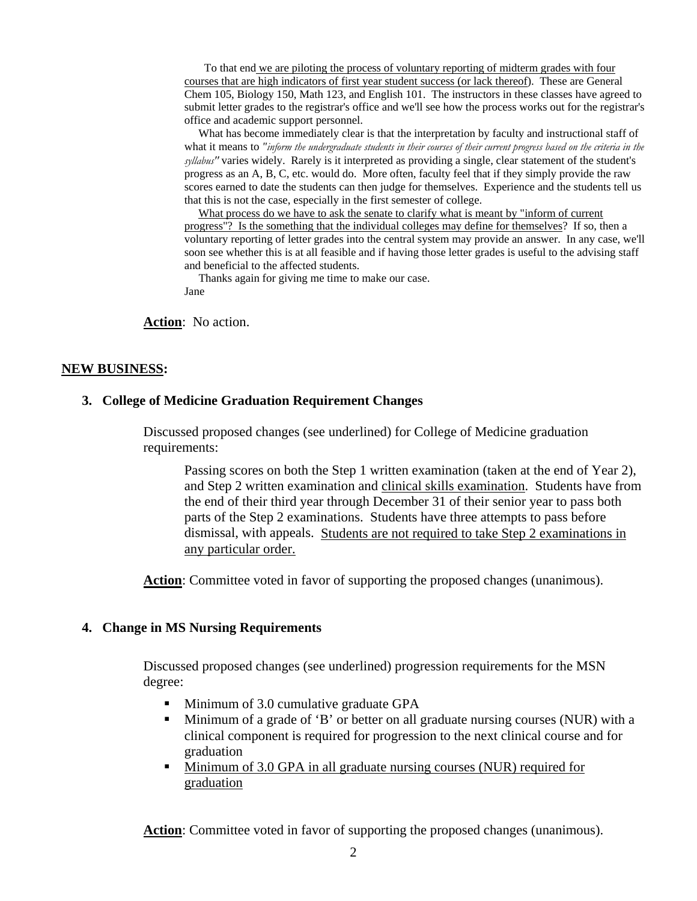To that end we are piloting the process of voluntary reporting of midterm grades with four courses that are high indicators of first year student success (or lack thereof). These are General Chem 105, Biology 150, Math 123, and English 101. The instructors in these classes have agreed to submit letter grades to the registrar's office and we'll see how the process works out for the registrar's office and academic support personnel.

 What has become immediately clear is that the interpretation by faculty and instructional staff of what it means to *"inform the undergraduate students in their courses of their current progress based on the criteria in the syllabus"* varies widely. Rarely is it interpreted as providing a single, clear statement of the student's progress as an A, B, C, etc. would do. More often, faculty feel that if they simply provide the raw scores earned to date the students can then judge for themselves. Experience and the students tell us that this is not the case, especially in the first semester of college.

 What process do we have to ask the senate to clarify what is meant by "inform of current progress"? Is the something that the individual colleges may define for themselves? If so, then a voluntary reporting of letter grades into the central system may provide an answer. In any case, we'll soon see whether this is at all feasible and if having those letter grades is useful to the advising staff and beneficial to the affected students.

 Thanks again for giving me time to make our case. Jane

**Action**: No action.

#### **NEW BUSINESS:**

### **3. [College of Medicine Graduation Requirement Changes](http://www.uky.edu/USC/Comms/AAS/February2004/Coll of Med Grad Requirements.pdf)**

Discussed proposed changes (see underlined) for College of Medicine graduation requirements:

Passing scores on both the Step 1 written examination (taken at the end of Year 2), and Step 2 written examination and clinical skills examination. Students have from the end of their third year through December 31 of their senior year to pass both parts of the Step 2 examinations. Students have three attempts to pass before dismissal, with appeals. Students are not required to take Step 2 examinations in any particular order.

Action: Committee voted in favor of supporting the proposed changes (unanimous).

#### **4. Change in MS Nursing Requirements**

Discussed proposed changes (see underlined) progression requirements for the MSN degree:

- Minimum of 3.0 cumulative graduate GPA
- Minimum of a grade of 'B' or better on all graduate nursing courses (NUR) with a clinical component is required for progression to the next clinical course and for graduation
- Minimum of 3.0 GPA in all graduate nursing courses (NUR) required for graduation

**Action**: Committee voted in favor of supporting the proposed changes (unanimous).